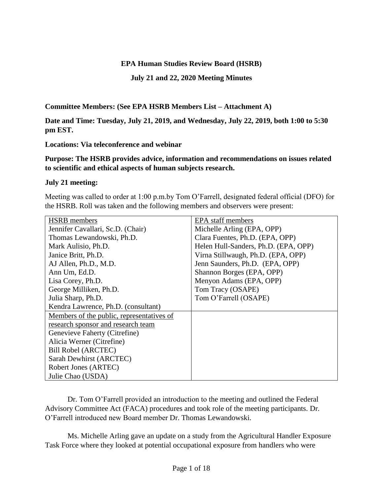### **EPA Human Studies Review Board (HSRB)**

**July 21 and 22, 2020 Meeting Minutes**

**Committee Members: (See EPA HSRB Members List – Attachment A)**

**Date and Time: Tuesday, July 21, 2019, and Wednesday, July 22, 2019, both 1:00 to 5:30 pm EST.**

**Locations: Via teleconference and webinar**

**Purpose: The HSRB provides advice, information and recommendations on issues related to scientific and ethical aspects of human subjects research.** 

### **July 21 meeting:**

Meeting was called to order at 1:00 p.m.by Tom O'Farrell, designated federal official (DFO) for the HSRB. Roll was taken and the following members and observers were present:

| <b>HSRB</b> members                       | EPA staff members                    |
|-------------------------------------------|--------------------------------------|
| Jennifer Cavallari, Sc.D. (Chair)         | Michelle Arling (EPA, OPP)           |
| Thomas Lewandowski, Ph.D.                 | Clara Fuentes, Ph.D. (EPA, OPP)      |
| Mark Aulisio, Ph.D.                       | Helen Hull-Sanders, Ph.D. (EPA, OPP) |
| Janice Britt, Ph.D.                       | Virna Stillwaugh, Ph.D. (EPA, OPP)   |
| AJ Allen, Ph.D., M.D.                     | Jenn Saunders, Ph.D. (EPA, OPP)      |
| Ann Um, Ed.D.                             | Shannon Borges (EPA, OPP)            |
| Lisa Corey, Ph.D.                         | Menyon Adams (EPA, OPP)              |
| George Milliken, Ph.D.                    | Tom Tracy (OSAPE)                    |
| Julia Sharp, Ph.D.                        | Tom O'Farrell (OSAPE)                |
| Kendra Lawrence, Ph.D. (consultant)       |                                      |
| Members of the public, representatives of |                                      |
| research sponsor and research team        |                                      |
| Genevieve Faherty (Citrefine)             |                                      |
| Alicia Werner (Citrefine)                 |                                      |
| Bill Robel (ARCTEC)                       |                                      |
| Sarah Dewhirst (ARCTEC)                   |                                      |
| Robert Jones (ARTEC)                      |                                      |
| Julie Chao (USDA)                         |                                      |

Dr. Tom O'Farrell provided an introduction to the meeting and outlined the Federal Advisory Committee Act (FACA) procedures and took role of the meeting participants. Dr. O'Farrell introduced new Board member Dr. Thomas Lewandowski.

Ms. Michelle Arling gave an update on a study from the Agricultural Handler Exposure Task Force where they looked at potential occupational exposure from handlers who were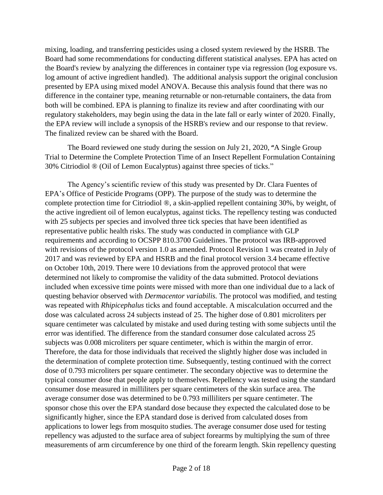mixing, loading, and transferring pesticides using a closed system reviewed by the HSRB. The Board had some recommendations for conducting different statistical analyses. EPA has acted on the Board's review by analyzing the differences in container type via regression (log exposure vs. log amount of active ingredient handled). The additional analysis support the original conclusion presented by EPA using mixed model ANOVA. Because this analysis found that there was no difference in the container type, meaning returnable or non-returnable containers, the data from both will be combined. EPA is planning to finalize its review and after coordinating with our regulatory stakeholders, may begin using the data in the late fall or early winter of 2020. Finally, the EPA review will include a synopsis of the HSRB's review and our response to that review. The finalized review can be shared with the Board.

The Board reviewed one study during the session on July 21, 2020, **"**A Single Group Trial to Determine the Complete Protection Time of an Insect Repellent Formulation Containing 30% Citriodiol ® (Oil of Lemon Eucalyptus) against three species of ticks."

The Agency's scientific review of this study was presented by Dr. Clara Fuentes of EPA's Office of Pesticide Programs (OPP). The purpose of the study was to determine the complete protection time for Citriodiol ®, a skin-applied repellent containing 30%, by weight, of the active ingredient oil of lemon eucalyptus, against ticks. The repellency testing was conducted with 25 subjects per species and involved three tick species that have been identified as representative public health risks. The study was conducted in compliance with GLP requirements and according to OCSPP 810.3700 Guidelines. The protocol was IRB-approved with revisions of the protocol version 1.0 as amended. Protocol Revision 1 was created in July of 2017 and was reviewed by EPA and HSRB and the final protocol version 3.4 became effective on October 10th, 2019. There were 10 deviations from the approved protocol that were determined not likely to compromise the validity of the data submitted. Protocol deviations included when excessive time points were missed with more than one individual due to a lack of questing behavior observed with *Dermacentor variabilis.* The protocol was modified, and testing was repeated with *Rhipicephalus* ticks and found acceptable. A miscalculation occurred and the dose was calculated across 24 subjects instead of 25. The higher dose of 0.801 microliters per square centimeter was calculated by mistake and used during testing with some subjects until the error was identified. The difference from the standard consumer dose calculated across 25 subjects was 0.008 microliters per square centimeter, which is within the margin of error. Therefore, the data for those individuals that received the slightly higher dose was included in the determination of complete protection time. Subsequently, testing continued with the correct dose of 0.793 microliters per square centimeter. The secondary objective was to determine the typical consumer dose that people apply to themselves. Repellency was tested using the standard consumer dose measured in milliliters per square centimeters of the skin surface area. The average consumer dose was determined to be 0.793 milliliters per square centimeter. The sponsor chose this over the EPA standard dose because they expected the calculated dose to be significantly higher, since the EPA standard dose is derived from calculated doses from applications to lower legs from mosquito studies. The average consumer dose used for testing repellency was adjusted to the surface area of subject forearms by multiplying the sum of three measurements of arm circumference by one third of the forearm length. Skin repellency questing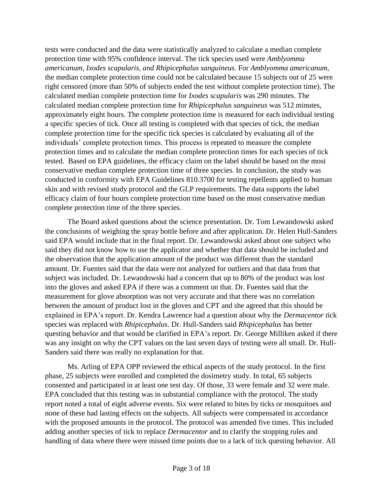tests were conducted and the data were statistically analyzed to calculate a median complete protection time with 95% confidence interval. The tick species used were *Amblyomma americanum, Ixodes scapularis, and Rhipicephalus sanguineus*. For *Amblyomma americanum*, the median complete protection time could not be calculated because 15 subjects out of 25 were right censored (more than 50% of subjects ended the test without complete protection time). The calculated median complete protection time for *Ixodes scapularis* was 290 minutes. The calculated median complete protection time for *Rhipicephalus sanguineus* was 512 minutes, approximately eight hours. The complete protection time is measured for each individual testing a specific species of tick. Once all testing is completed with that species of tick, the median complete protection time for the specific tick species is calculated by evaluating all of the individuals' complete protection times. This process is repeated to measure the complete protection times and to calculate the median complete protection times for each species of tick tested. Based on EPA guidelines, the efficacy claim on the label should be based on the most conservative median complete protection time of three species. In conclusion, the study was conducted in conformity with EPA Guidelines 810.3700 for testing repellents applied to human skin and with revised study protocol and the GLP requirements. The data supports the label efficacy claim of four hours complete protection time based on the most conservative median complete protection time of the three species.

The Board asked questions about the science presentation. Dr. Tom Lewandowski asked the conclusions of weighing the spray bottle before and after application. Dr. Helen Hull-Sanders said EPA would include that in the final report. Dr. Lewandowski asked about one subject who said they did not know how to use the applicator and whether that data should be included and the observation that the application amount of the product was different than the standard amount. Dr. Fuentes said that the data were not analyzed for outliers and that data from that subject was included. Dr. Lewandowski had a concern that up to 80% of the product was lost into the gloves and asked EPA if there was a comment on that. Dr. Fuentes said that the measurement for glove absorption was not very accurate and that there was no correlation between the amount of product lost in the gloves and CPT and she agreed that this should be explained in EPA's report. Dr. Kendra Lawrence had a question about why the *Dermacentor t*ick species was replaced with *Rhipicephalus*. Dr. Hull-Sanders said *Rhipicephalus* has better questing behavior and that would be clarified in EPA's report*.* Dr. George Milliken asked if there was any insight on why the CPT values on the last seven days of testing were all small. Dr. Hull-Sanders said there was really no explanation for that.

Ms. Arling of EPA OPP reviewed the ethical aspects of the study protocol. In the first phase, 25 subjects were enrolled and completed the dosimetry study. In total, 65 subjects consented and participated in at least one test day. Of those, 33 were female and 32 were male. EPA concluded that this testing was in substantial compliance with the protocol. The study report noted a total of eight adverse events. Six were related to bites by ticks or mosquitoes and none of these had lasting effects on the subjects. All subjects were compensated in accordance with the proposed amounts in the protocol. The protocol was amended five times. This included adding another species of tick to replace *Dermacentor* and to clarify the stopping rules and handling of data where there were missed time points due to a lack of tick questing behavior. All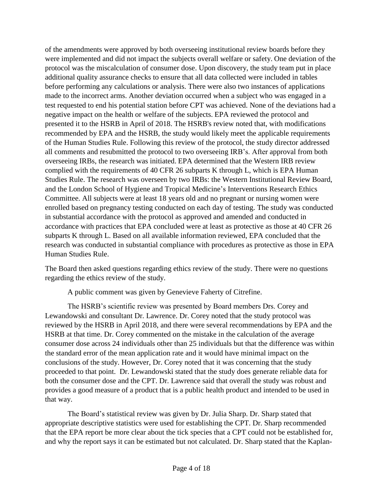of the amendments were approved by both overseeing institutional review boards before they were implemented and did not impact the subjects overall welfare or safety. One deviation of the protocol was the miscalculation of consumer dose. Upon discovery, the study team put in place additional quality assurance checks to ensure that all data collected were included in tables before performing any calculations or analysis. There were also two instances of applications made to the incorrect arms. Another deviation occurred when a subject who was engaged in a test requested to end his potential station before CPT was achieved. None of the deviations had a negative impact on the health or welfare of the subjects. EPA reviewed the protocol and presented it to the HSRB in April of 2018. The HSRB's review noted that, with modifications recommended by EPA and the HSRB, the study would likely meet the applicable requirements of the Human Studies Rule. Following this review of the protocol, the study director addressed all comments and resubmitted the protocol to two overseeing IRB's. After approval from both overseeing IRBs, the research was initiated. EPA determined that the Western IRB review complied with the requirements of 40 CFR 26 subparts K through L, which is EPA Human Studies Rule. The research was overseen by two IRBs: the Western Institutional Review Board, and the London School of Hygiene and Tropical Medicine's Interventions Research Ethics Committee. All subjects were at least 18 years old and no pregnant or nursing women were enrolled based on pregnancy testing conducted on each day of testing. The study was conducted in substantial accordance with the protocol as approved and amended and conducted in accordance with practices that EPA concluded were at least as protective as those at 40 CFR 26 subparts K through L. Based on all available information reviewed, EPA concluded that the research was conducted in substantial compliance with procedures as protective as those in EPA Human Studies Rule.

The Board then asked questions regarding ethics review of the study. There were no questions regarding the ethics review of the study.

A public comment was given by Genevieve Faherty of Citrefine.

The HSRB's scientific review was presented by Board members Drs. Corey and Lewandowski and consultant Dr. Lawrence. Dr. Corey noted that the study protocol was reviewed by the HSRB in April 2018, and there were several recommendations by EPA and the HSRB at that time. Dr. Corey commented on the mistake in the calculation of the average consumer dose across 24 individuals other than 25 individuals but that the difference was within the standard error of the mean application rate and it would have minimal impact on the conclusions of the study. However, Dr. Corey noted that it was concerning that the study proceeded to that point. Dr. Lewandowski stated that the study does generate reliable data for both the consumer dose and the CPT. Dr. Lawrence said that overall the study was robust and provides a good measure of a product that is a public health product and intended to be used in that way.

The Board's statistical review was given by Dr. Julia Sharp. Dr. Sharp stated that appropriate descriptive statistics were used for establishing the CPT. Dr. Sharp recommended that the EPA report be more clear about the tick species that a CPT could not be established for, and why the report says it can be estimated but not calculated. Dr. Sharp stated that the Kaplan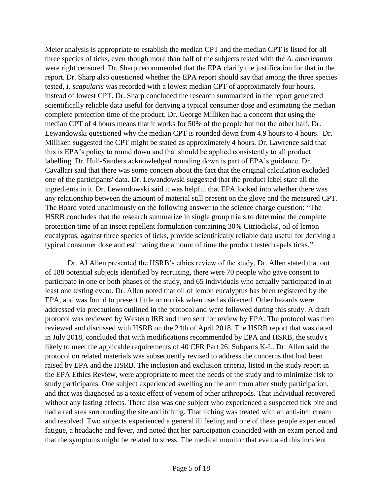Meier analysis is appropriate to establish the median CPT and the median CPT is listed for all three species of ticks, even though more than half of the subjects tested with the *A. americanum*  were right censored. Dr. Sharp recommended that the EPA clarify the justification for that in the report. Dr. Sharp also questioned whether the EPA report should say that among the three species tested, *I. scapularis* was recorded with a lowest median CPT of approximately four hours, instead of lowest CPT. Dr. Sharp concluded the research summarized in the report generated scientifically reliable data useful for deriving a typical consumer dose and estimating the median complete protection time of the product. Dr. George Milliken had a concern that using the median CPT of 4 hours means that it works for 50% of the people but not the other half. Dr. Lewandowski questioned why the median CPT is rounded down from 4.9 hours to 4 hours. Dr. Milliken suggested the CPT might be stated as approximately 4 hours. Dr. Lawrence said that this is EPA's policy to round down and that should be applied consistently to all product labelling. Dr. Hull-Sanders acknowledged rounding down is part of EPA's guidance. Dr. Cavallari said that there was some concern about the fact that the original calculation excluded one of the participants' data. Dr. Lewandowski suggested that the product label state all the ingredients in it. Dr. Lewandowski said it was helpful that EPA looked into whether there was any relationship between the amount of material still present on the glove and the measured CPT. The Board voted unanimously on the following answer to the science charge question: "The HSRB concludes that the research summarize in single group trials to determine the complete protection time of an insect repellent formulation containing 30% Citriodiol®, oil of lemon eucalyptus, against three species of ticks, provide scientifically reliable data useful for deriving a typical consumer dose and estimating the amount of time the product tested repels ticks."

Dr. AJ Allen presented the HSRB's ethics review of the study. Dr. Allen stated that out of 188 potential subjects identified by recruiting, there were 70 people who gave consent to participate in one or both phases of the study, and 65 individuals who actually participated in at least one testing event. Dr. Allen noted that oil of lemon eucalyptus has been registered by the EPA, and was found to present little or no risk when used as directed. Other hazards were addressed via precautions outlined in the protocol and were followed during this study. A draft protocol was reviewed by Western IRB and then sent for review by EPA. The protocol was then reviewed and discussed with HSRB on the 24th of April 2018. The HSRB report that was dated in July 2018, concluded that with modifications recommended by EPA and HSRB, the study's likely to meet the applicable requirements of 40 CFR Part 26, Subparts K-L. Dr. Allen said the protocol on related materials was subsequently revised to address the concerns that had been raised by EPA and the HSRB. The inclusion and exclusion criteria, listed in the study report in the EPA Ethics Review, were appropriate to meet the needs of the study and to minimize risk to study participants. One subject experienced swelling on the arm from after study participation, and that was diagnosed as a toxic effect of venom of other arthropods. That individual recovered without any lasting effects. There also was one subject who experienced a suspected tick bite and had a red area surrounding the site and itching. That itching was treated with an anti-itch cream and resolved. Two subjects experienced a general ill feeling and one of these people experienced fatigue, a headache and fever, and noted that her participation coincided with an exam period and that the symptoms might be related to stress. The medical monitor that evaluated this incident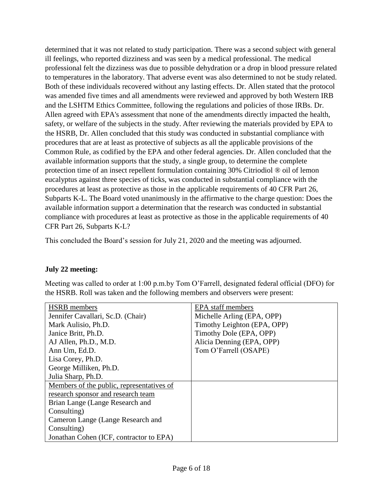determined that it was not related to study participation. There was a second subject with general ill feelings, who reported dizziness and was seen by a medical professional. The medical professional felt the dizziness was due to possible dehydration or a drop in blood pressure related to temperatures in the laboratory. That adverse event was also determined to not be study related. Both of these individuals recovered without any lasting effects. Dr. Allen stated that the protocol was amended five times and all amendments were reviewed and approved by both Western IRB and the LSHTM Ethics Committee, following the regulations and policies of those IRBs. Dr. Allen agreed with EPA's assessment that none of the amendments directly impacted the health, safety, or welfare of the subjects in the study. After reviewing the materials provided by EPA to the HSRB, Dr. Allen concluded that this study was conducted in substantial compliance with procedures that are at least as protective of subjects as all the applicable provisions of the Common Rule, as codified by the EPA and other federal agencies. Dr. Allen concluded that the available information supports that the study, a single group, to determine the complete protection time of an insect repellent formulation containing 30% Citriodiol ® oil of lemon eucalyptus against three species of ticks, was conducted in substantial compliance with the procedures at least as protective as those in the applicable requirements of 40 CFR Part 26, Subparts K-L. The Board voted unanimously in the affirmative to the charge question: Does the available information support a determination that the research was conducted in substantial compliance with procedures at least as protective as those in the applicable requirements of 40 CFR Part 26, Subparts K-L?

This concluded the Board's session for July 21, 2020 and the meeting was adjourned.

# **July 22 meeting:**

Meeting was called to order at 1:00 p.m.by Tom O'Farrell, designated federal official (DFO) for the HSRB. Roll was taken and the following members and observers were present:

| <b>HSRB</b> members                       | <b>EPA</b> staff members    |
|-------------------------------------------|-----------------------------|
| Jennifer Cavallari, Sc.D. (Chair)         | Michelle Arling (EPA, OPP)  |
| Mark Aulisio, Ph.D.                       | Timothy Leighton (EPA, OPP) |
| Janice Britt, Ph.D.                       | Timothy Dole (EPA, OPP)     |
| AJ Allen, Ph.D., M.D.                     | Alicia Denning (EPA, OPP)   |
| Ann Um, Ed.D.                             | Tom O'Farrell (OSAPE)       |
| Lisa Corey, Ph.D.                         |                             |
| George Milliken, Ph.D.                    |                             |
| Julia Sharp, Ph.D.                        |                             |
| Members of the public, representatives of |                             |
| research sponsor and research team        |                             |
| Brian Lange (Lange Research and           |                             |
| Consulting)                               |                             |
| Cameron Lange (Lange Research and         |                             |
| Consulting)                               |                             |
| Jonathan Cohen (ICF, contractor to EPA)   |                             |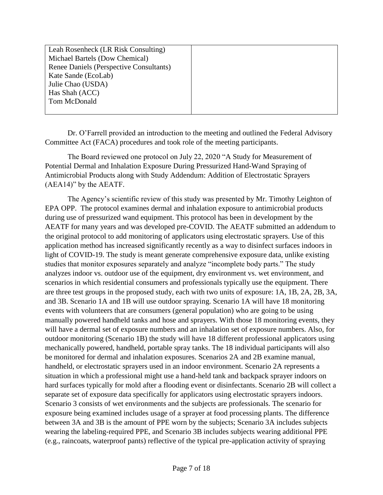| Leah Rosenheck (LR Risk Consulting)     |  |
|-----------------------------------------|--|
|                                         |  |
| Michael Bartels (Dow Chemical)          |  |
| Renee Daniels (Perspective Consultants) |  |
| Kate Sande (EcoLab)                     |  |
| Julie Chao (USDA)                       |  |
| Has Shah (ACC)                          |  |
| Tom McDonald                            |  |
|                                         |  |

Dr. O'Farrell provided an introduction to the meeting and outlined the Federal Advisory Committee Act (FACA) procedures and took role of the meeting participants.

The Board reviewed one protocol on July 22, 2020 "A Study for Measurement of Potential Dermal and Inhalation Exposure During Pressurized Hand-Wand Spraying of Antimicrobial Products along with Study Addendum: Addition of Electrostatic Sprayers (AEA14)" by the AEATF.

The Agency's scientific review of this study was presented by Mr. Timothy Leighton of EPA OPP. The protocol examines dermal and inhalation exposure to antimicrobial products during use of pressurized wand equipment. This protocol has been in development by the AEATF for many years and was developed pre-COVID. The AEATF submitted an addendum to the original protocol to add monitoring of applicators using electrostatic sprayers. Use of this application method has increased significantly recently as a way to disinfect surfaces indoors in light of COVID-19. The study is meant generate comprehensive exposure data, unlike existing studies that monitor exposures separately and analyze "incomplete body parts." The study analyzes indoor vs. outdoor use of the equipment, dry environment vs. wet environment, and scenarios in which residential consumers and professionals typically use the equipment. There are three test groups in the proposed study, each with two units of exposure: 1A, 1B, 2A, 2B, 3A, and 3B. Scenario 1A and 1B will use outdoor spraying. Scenario 1A will have 18 monitoring events with volunteers that are consumers (general population) who are going to be using manually powered handheld tanks and hose and sprayers. With those 18 monitoring events, they will have a dermal set of exposure numbers and an inhalation set of exposure numbers. Also, for outdoor monitoring (Scenario 1B) the study will have 18 different professional applicators using mechanically powered, handheld, portable spray tanks. The 18 individual participants will also be monitored for dermal and inhalation exposures. Scenarios 2A and 2B examine manual, handheld, or electrostatic sprayers used in an indoor environment. Scenario 2A represents a situation in which a professional might use a hand-held tank and backpack sprayer indoors on hard surfaces typically for mold after a flooding event or disinfectants. Scenario 2B will collect a separate set of exposure data specifically for applicators using electrostatic sprayers indoors. Scenario 3 consists of wet environments and the subjects are professionals. The scenario for exposure being examined includes usage of a sprayer at food processing plants. The difference between 3A and 3B is the amount of PPE worn by the subjects; Scenario 3A includes subjects wearing the labeling-required PPE, and Scenario 3B includes subjects wearing additional PPE (e.g., raincoats, waterproof pants) reflective of the typical pre-application activity of spraying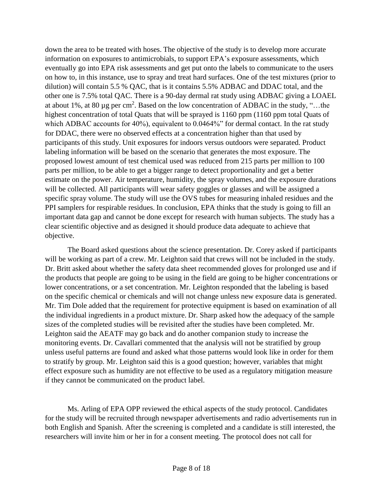down the area to be treated with hoses. The objective of the study is to develop more accurate information on exposures to antimicrobials, to support EPA's exposure assessments, which eventually go into EPA risk assessments and get put onto the labels to communicate to the users on how to, in this instance, use to spray and treat hard surfaces. One of the test mixtures (prior to dilution) will contain 5.5 % QAC, that is it contains 5.5% ADBAC and DDAC total, and the other one is 7.5% total QAC. There is a 90-day dermal rat study using ADBAC giving a LOAEL at about 1%, at 80 µg per cm<sup>2</sup>. Based on the low concentration of ADBAC in the study, "...the highest concentration of total Quats that will be sprayed is 1160 ppm (1160 ppm total Quats of which ADBAC accounts for 40%), equivalent to 0.0464%" for dermal contact. In the rat study for DDAC, there were no observed effects at a concentration higher than that used by participants of this study. Unit exposures for indoors versus outdoors were separated. Product labeling information will be based on the scenario that generates the most exposure. The proposed lowest amount of test chemical used was reduced from 215 parts per million to 100 parts per million, to be able to get a bigger range to detect proportionality and get a better estimate on the power. Air temperature, humidity, the spray volumes, and the exposure durations will be collected. All participants will wear safety goggles or glasses and will be assigned a specific spray volume. The study will use the OVS tubes for measuring inhaled residues and the PPI samplers for respirable residues. In conclusion, EPA thinks that the study is going to fill an important data gap and cannot be done except for research with human subjects. The study has a clear scientific objective and as designed it should produce data adequate to achieve that objective.

The Board asked questions about the science presentation. Dr. Corey asked if participants will be working as part of a crew. Mr. Leighton said that crews will not be included in the study. Dr. Britt asked about whether the safety data sheet recommended gloves for prolonged use and if the products that people are going to be using in the field are going to be higher concentrations or lower concentrations, or a set concentration. Mr. Leighton responded that the labeling is based on the specific chemical or chemicals and will not change unless new exposure data is generated. Mr. Tim Dole added that the requirement for protective equipment is based on examination of all the individual ingredients in a product mixture. Dr. Sharp asked how the adequacy of the sample sizes of the completed studies will be revisited after the studies have been completed. Mr. Leighton said the AEATF may go back and do another companion study to increase the monitoring events. Dr. Cavallari commented that the analysis will not be stratified by group unless useful patterns are found and asked what those patterns would look like in order for them to stratify by group. Mr. Leighton said this is a good question; however, variables that might effect exposure such as humidity are not effective to be used as a regulatory mitigation measure if they cannot be communicated on the product label.

Ms. Arling of EPA OPP reviewed the ethical aspects of the study protocol. Candidates for the study will be recruited through newspaper advertisements and radio advertisements run in both English and Spanish. After the screening is completed and a candidate is still interested, the researchers will invite him or her in for a consent meeting. The protocol does not call for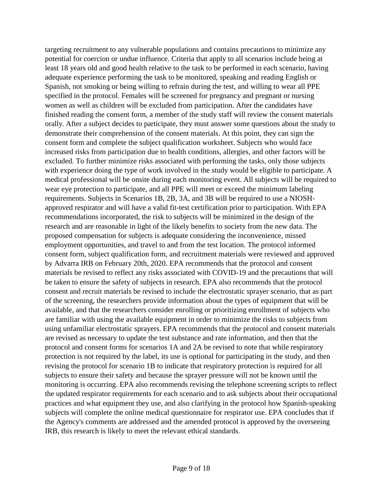targeting recruitment to any vulnerable populations and contains precautions to minimize any potential for coercion or undue influence. Criteria that apply to all scenarios include being at least 18 years old and good health relative to the task to be performed in each scenario, having adequate experience performing the task to be monitored, speaking and reading English or Spanish, not smoking or being willing to refrain during the test, and willing to wear all PPE specified in the protocol. Females will be screened for pregnancy and pregnant or nursing women as well as children will be excluded from participation. After the candidates have finished reading the consent form, a member of the study staff will review the consent materials orally. After a subject decides to participate, they must answer some questions about the study to demonstrate their comprehension of the consent materials. At this point, they can sign the consent form and complete the subject qualification worksheet. Subjects who would face increased risks from participation due to health conditions, allergies, and other factors will be excluded. To further minimize risks associated with performing the tasks, only those subjects with experience doing the type of work involved in the study would be eligible to participate. A medical professional will be onsite during each monitoring event. All subjects will be required to wear eye protection to participate, and all PPE will meet or exceed the minimum labeling requirements. Subjects in Scenarios 1B, 2B, 3A, and 3B will be required to use a NIOSHapproved respirator and will have a valid fit-test certification prior to participation. With EPA recommendations incorporated, the risk to subjects will be minimized in the design of the research and are reasonable in light of the likely benefits to society from the new data. The proposed compensation for subjects is adequate considering the inconvenience, missed employment opportunities, and travel to and from the test location. The protocol informed consent form, subject qualification form, and recruitment materials were reviewed and approved by Advarra IRB on February 20th, 2020. EPA recommends that the protocol and consent materials be revised to reflect any risks associated with COVID-19 and the precautions that will be taken to ensure the safety of subjects in research. EPA also recommends that the protocol consent and recruit materials be revised to include the electrostatic sprayer scenario, that as part of the screening, the researchers provide information about the types of equipment that will be available, and that the researchers consider enrolling or prioritizing enrollment of subjects who are familiar with using the available equipment in order to minimize the risks to subjects from using unfamiliar electrostatic sprayers. EPA recommends that the protocol and consent materials are revised as necessary to update the test substance and rate information, and then that the protocol and consent forms for scenarios 1A and 2A be revised to note that while respiratory protection is not required by the label, its use is optional for participating in the study, and then revising the protocol for scenario 1B to indicate that respiratory protection is required for all subjects to ensure their safety and because the sprayer pressure will not be known until the monitoring is occurring. EPA also recommends revising the telephone screening scripts to reflect the updated respirator requirements for each scenario and to ask subjects about their occupational practices and what equipment they use, and also clarifying in the protocol how Spanish-speaking subjects will complete the online medical questionnaire for respirator use. EPA concludes that if the Agency's comments are addressed and the amended protocol is approved by the overseeing IRB, this research is likely to meet the relevant ethical standards.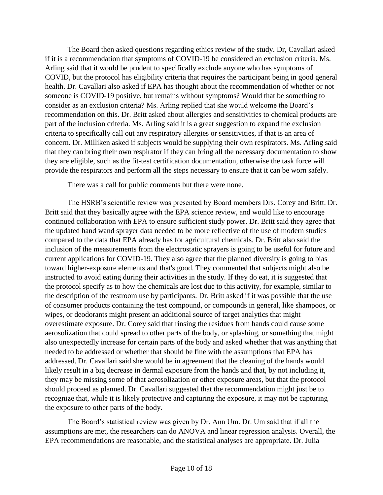The Board then asked questions regarding ethics review of the study. Dr, Cavallari asked if it is a recommendation that symptoms of COVID-19 be considered an exclusion criteria. Ms. Arling said that it would be prudent to specifically exclude anyone who has symptoms of COVID, but the protocol has eligibility criteria that requires the participant being in good general health. Dr. Cavallari also asked if EPA has thought about the recommendation of whether or not someone is COVID-19 positive, but remains without symptoms? Would that be something to consider as an exclusion criteria? Ms. Arling replied that she would welcome the Board's recommendation on this. Dr. Britt asked about allergies and sensitivities to chemical products are part of the inclusion criteria. Ms. Arling said it is a great suggestion to expand the exclusion criteria to specifically call out any respiratory allergies or sensitivities, if that is an area of concern. Dr. Milliken asked if subjects would be supplying their own respirators. Ms. Arling said that they can bring their own respirator if they can bring all the necessary documentation to show they are eligible, such as the fit-test certification documentation, otherwise the task force will provide the respirators and perform all the steps necessary to ensure that it can be worn safely.

There was a call for public comments but there were none.

The HSRB's scientific review was presented by Board members Drs. Corey and Britt. Dr. Britt said that they basically agree with the EPA science review, and would like to encourage continued collaboration with EPA to ensure sufficient study power. Dr. Britt said they agree that the updated hand wand sprayer data needed to be more reflective of the use of modern studies compared to the data that EPA already has for agricultural chemicals. Dr. Britt also said the inclusion of the measurements from the electrostatic sprayers is going to be useful for future and current applications for COVID-19. They also agree that the planned diversity is going to bias toward higher-exposure elements and that's good. They commented that subjects might also be instructed to avoid eating during their activities in the study. If they do eat, it is suggested that the protocol specify as to how the chemicals are lost due to this activity, for example, similar to the description of the restroom use by participants. Dr. Britt asked if it was possible that the use of consumer products containing the test compound, or compounds in general, like shampoos, or wipes, or deodorants might present an additional source of target analytics that might overestimate exposure. Dr. Corey said that rinsing the residues from hands could cause some aerosolization that could spread to other parts of the body, or splashing, or something that might also unexpectedly increase for certain parts of the body and asked whether that was anything that needed to be addressed or whether that should be fine with the assumptions that EPA has addressed. Dr. Cavallari said she would be in agreement that the cleaning of the hands would likely result in a big decrease in dermal exposure from the hands and that, by not including it, they may be missing some of that aerosolization or other exposure areas, but that the protocol should proceed as planned. Dr. Cavallari suggested that the recommendation might just be to recognize that, while it is likely protective and capturing the exposure, it may not be capturing the exposure to other parts of the body.

The Board's statistical review was given by Dr. Ann Um. Dr. Um said that if all the assumptions are met, the researchers can do ANOVA and linear regression analysis. Overall, the EPA recommendations are reasonable, and the statistical analyses are appropriate. Dr. Julia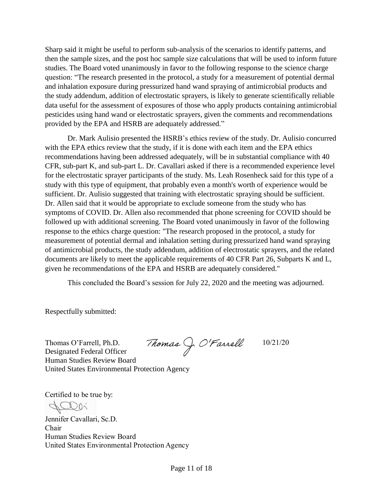Sharp said it might be useful to perform sub-analysis of the scenarios to identify patterns, and then the sample sizes, and the post hoc sample size calculations that will be used to inform future studies. The Board voted unanimously in favor to the following response to the science charge question: "The research presented in the protocol, a study for a measurement of potential dermal and inhalation exposure during pressurized hand wand spraying of antimicrobial products and the study addendum, addition of electrostatic sprayers, is likely to generate scientifically reliable data useful for the assessment of exposures of those who apply products containing antimicrobial pesticides using hand wand or electrostatic sprayers, given the comments and recommendations provided by the EPA and HSRB are adequately addressed."

Dr. Mark Aulisio presented the HSRB's ethics review of the study. Dr. Aulisio concurred with the EPA ethics review that the study, if it is done with each item and the EPA ethics recommendations having been addressed adequately, will be in substantial compliance with 40 CFR, sub-part K, and sub-part L. Dr. Cavallari asked if there is a recommended experience level for the electrostatic sprayer participants of the study. Ms. Leah Rosenheck said for this type of a study with this type of equipment, that probably even a month's worth of experience would be sufficient. Dr. Aulisio suggested that training with electrostatic spraying should be sufficient. Dr. Allen said that it would be appropriate to exclude someone from the study who has symptoms of COVID. Dr. Allen also recommended that phone screening for COVID should be followed up with additional screening. The Board voted unanimously in favor of the following response to the ethics charge question: "The research proposed in the protocol, a study for measurement of potential dermal and inhalation setting during pressurized hand wand spraying of antimicrobial products, the study addendum, addition of electrostatic sprayers, and the related documents are likely to meet the applicable requirements of 40 CFR Part 26, Subparts K and L, given he recommendations of the EPA and HSRB are adequately considered."

This concluded the Board's session for July 22, 2020 and the meeting was adjourned.

10/21/20

Respectfully submitted:

Thomas J. O'Farrell Thomas O'Farrell, Ph.D. Designated Federal Officer Human Studies Review Board United States Environmental Protection Agency

Certified to be true by:

Jennifer Cavallari, Sc.D. Chair Human Studies Review Board United States Environmental Protection Agency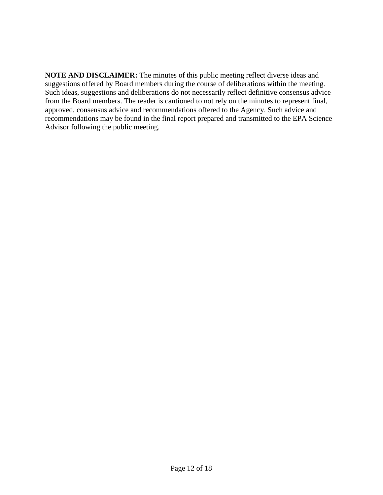**NOTE AND DISCLAIMER:** The minutes of this public meeting reflect diverse ideas and suggestions offered by Board members during the course of deliberations within the meeting. Such ideas, suggestions and deliberations do not necessarily reflect definitive consensus advice from the Board members. The reader is cautioned to not rely on the minutes to represent final, approved, consensus advice and recommendations offered to the Agency. Such advice and recommendations may be found in the final report prepared and transmitted to the EPA Science Advisor following the public meeting.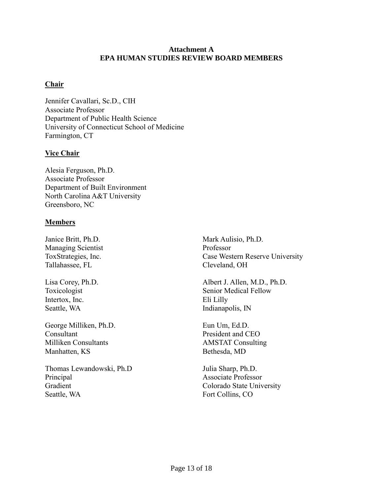### **Attachment A EPA HUMAN STUDIES REVIEW BOARD MEMBERS**

# **Chair**

Jennifer Cavallari, Sc.D., CIH Associate Professor Department of Public Health Science University of Connecticut School of Medicine Farmington, CT

# **Vice Chair**

Alesia Ferguson, Ph.D. Associate Professor Department of Built Environment North Carolina A&T University Greensboro, NC

# **Members**

Janice Britt, Ph.D. Managing Scientist ToxStrategies, Inc. Tallahassee, FL

Lisa Corey, Ph.D. Toxicologist Intertox, Inc. Seattle, WA

George Milliken, Ph.D. Consultant Milliken Consultants Manhatten, KS

Thomas Lewandowski, Ph.D Principal Gradient Seattle, WA

Mark Aulisio, Ph.D. Professor Case Western Reserve University Cleveland, OH

Albert J. Allen, M.D., Ph.D. Senior Medical Fellow Eli Lilly Indianapolis, IN

Eun Um, Ed.D. President and CEO AMSTAT Consulting Bethesda, MD

Julia Sharp, Ph.D. Associate Professor Colorado State University Fort Collins, CO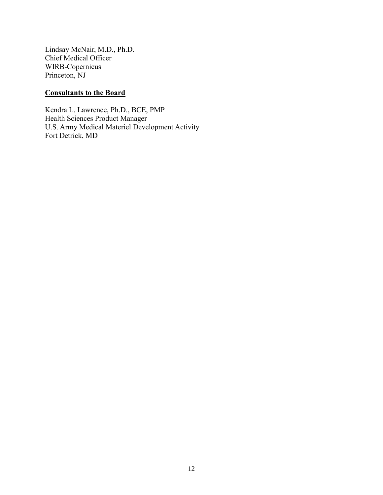Lindsay McNair, M.D., Ph.D. Chief Medical Officer WIRB-Copernicus Princeton, NJ

# **Consultants to the Board**

Kendra L. Lawrence, Ph.D., BCE, PMP Health Sciences Product Manager U.S. Army Medical Materiel Development Activity Fort Detrick, MD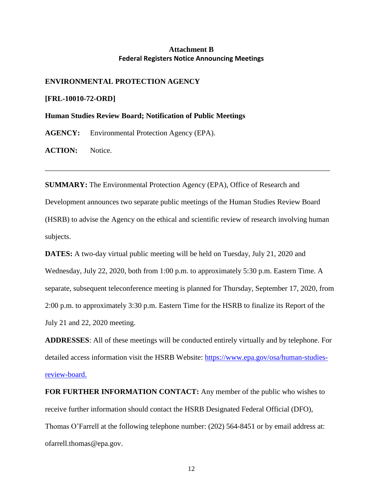### **Attachment B Federal Registers Notice Announcing Meetings**

#### **ENVIRONMENTAL PROTECTION AGENCY**

**[FRL-10010-72-ORD]**

**Human Studies Review Board; Notification of Public Meetings**

**AGENCY:** Environmental Protection Agency (EPA).

**ACTION:** Notice.

**SUMMARY:** The Environmental Protection Agency (EPA), Office of Research and Development announces two separate public meetings of the Human Studies Review Board (HSRB) to advise the Agency on the ethical and scientific review of research involving human subjects.

\_\_\_\_\_\_\_\_\_\_\_\_\_\_\_\_\_\_\_\_\_\_\_\_\_\_\_\_\_\_\_\_\_\_\_\_\_\_\_\_\_\_\_\_\_\_\_\_\_\_\_\_\_\_\_\_\_\_\_\_\_\_\_\_\_\_\_\_\_\_\_\_\_\_\_\_

**DATES:** A two-day virtual public meeting will be held on Tuesday, July 21, 2020 and Wednesday, July 22, 2020, both from 1:00 p.m. to approximately 5:30 p.m. Eastern Time. A separate, subsequent teleconference meeting is planned for Thursday, September 17, 2020, from 2:00 p.m. to approximately 3:30 p.m. Eastern Time for the HSRB to finalize its Report of the July 21 and 22, 2020 meeting.

**ADDRESSES**: All of these meetings will be conducted entirely virtually and by telephone. For detailed access information visit the HSRB Website: [https://www.epa.gov/osa/human-studies](https://www.epa.gov/osa/human-studies-review-board)[review-board.](https://www.epa.gov/osa/human-studies-review-board)

**FOR FURTHER INFORMATION CONTACT:** Any member of the public who wishes to receive further information should contact the HSRB Designated Federal Official (DFO), Thomas O'Farrell at the following telephone number: (202) 564-8451 or by email address at: ofarrell.thomas@epa.gov.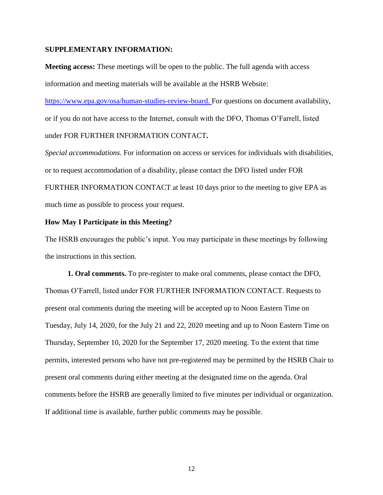#### **SUPPLEMENTARY INFORMATION:**

**Meeting access:** These meetings will be open to the public. The full agenda with access information and meeting materials will be available at the HSRB Website:

[https://www.epa.gov/osa/human-studies-review-board.](https://www.epa.gov/osa/human-studies-review-board) For questions on document availability, or if you do not have access to the Internet, consult with the DFO, Thomas O'Farrell, listed under FOR FURTHER INFORMATION CONTACT**.**

*Special accommodations*. For information on access or services for individuals with disabilities, or to request accommodation of a disability, please contact the DFO listed under FOR FURTHER INFORMATION CONTACT at least 10 days prior to the meeting to give EPA as much time as possible to process your request.

#### **How May I Participate in this Meeting?**

The HSRB encourages the public's input. You may participate in these meetings by following the instructions in this section.

**1. Oral comments.** To pre-register to make oral comments, please contact the DFO, Thomas O'Farrell, listed under FOR FURTHER INFORMATION CONTACT. Requests to present oral comments during the meeting will be accepted up to Noon Eastern Time on Tuesday, July 14, 2020, for the July 21 and 22, 2020 meeting and up to Noon Eastern Time on Thursday, September 10, 2020 for the September 17, 2020 meeting. To the extent that time permits, interested persons who have not pre-registered may be permitted by the HSRB Chair to present oral comments during either meeting at the designated time on the agenda. Oral comments before the HSRB are generally limited to five minutes per individual or organization. If additional time is available, further public comments may be possible.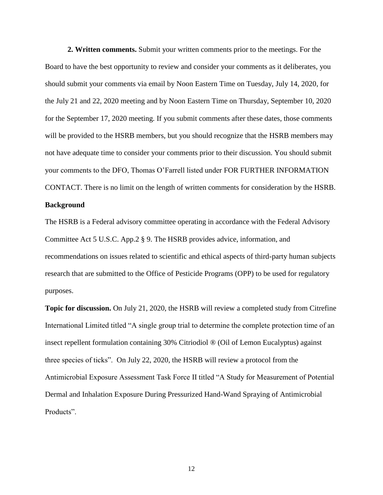**2. Written comments.** Submit your written comments prior to the meetings. For the Board to have the best opportunity to review and consider your comments as it deliberates, you should submit your comments via email by Noon Eastern Time on Tuesday, July 14, 2020, for the July 21 and 22, 2020 meeting and by Noon Eastern Time on Thursday, September 10, 2020 for the September 17, 2020 meeting. If you submit comments after these dates, those comments will be provided to the HSRB members, but you should recognize that the HSRB members may not have adequate time to consider your comments prior to their discussion. You should submit your comments to the DFO, Thomas O'Farrell listed under FOR FURTHER INFORMATION CONTACT. There is no limit on the length of written comments for consideration by the HSRB.

#### **Background**

The HSRB is a Federal advisory committee operating in accordance with the Federal Advisory Committee Act 5 U.S.C. App.2 § 9. The HSRB provides advice, information, and recommendations on issues related to scientific and ethical aspects of third-party human subjects research that are submitted to the Office of Pesticide Programs (OPP) to be used for regulatory purposes.

**Topic for discussion.** On July 21, 2020, the HSRB will review a completed study from Citrefine International Limited titled "A single group trial to determine the complete protection time of an insect repellent formulation containing 30% Citriodiol ® (Oil of Lemon Eucalyptus) against three species of ticks". On July 22, 2020, the HSRB will review a protocol from the Antimicrobial Exposure Assessment Task Force II titled "A Study for Measurement of Potential Dermal and Inhalation Exposure During Pressurized Hand-Wand Spraying of Antimicrobial Products".

12